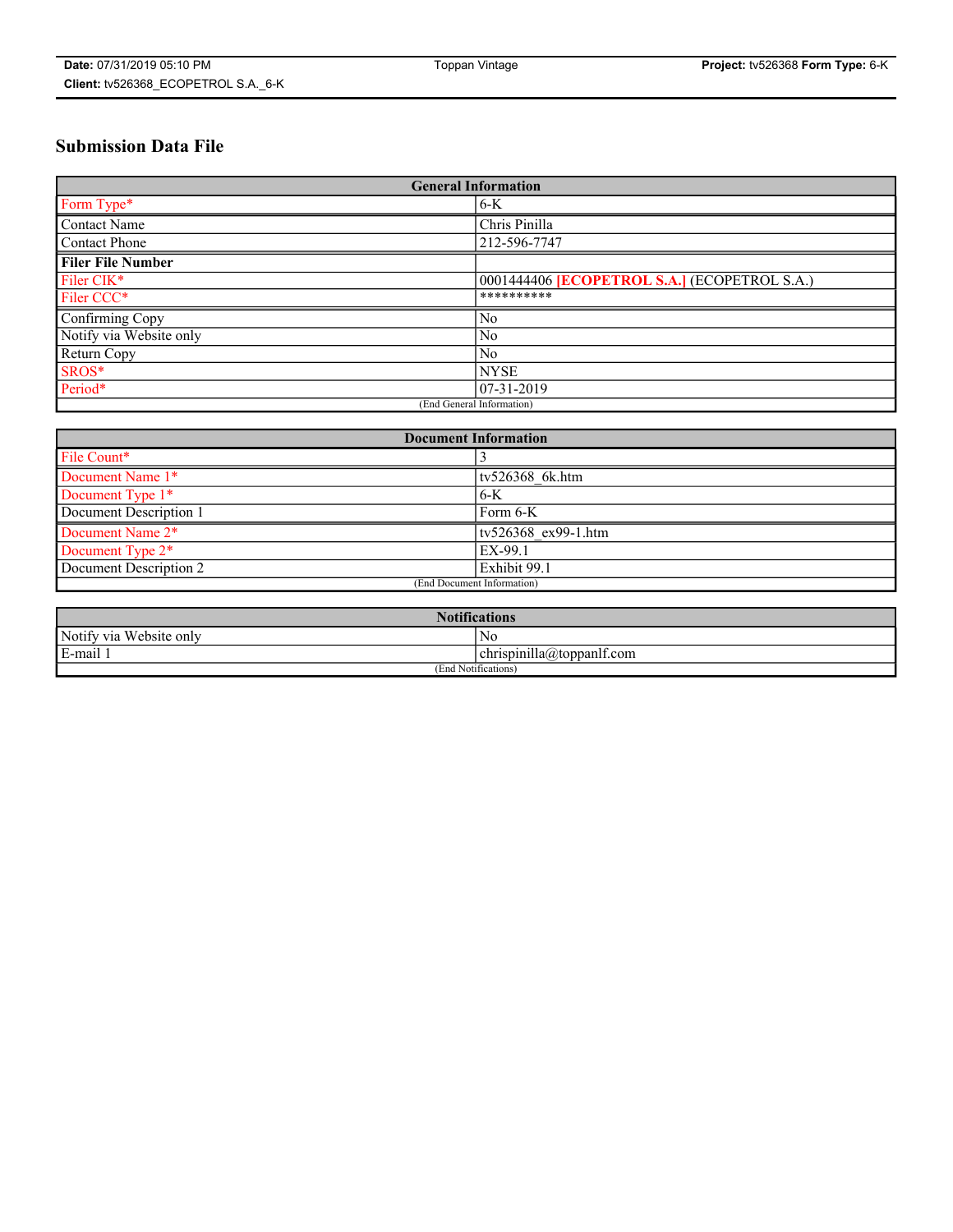# **Submission Data File**

| <b>General Information</b> |                                                     |
|----------------------------|-----------------------------------------------------|
| Form Type*                 | $6-K$                                               |
| Contact Name               | Chris Pinilla                                       |
| Contact Phone              | 212-596-7747                                        |
| <b>Filer File Number</b>   |                                                     |
| Filer CIK*                 | 0001444406 <b>[ECOPETROL S.A.]</b> (ECOPETROL S.A.) |
| Filer CCC*                 | **********                                          |
| Confirming Copy            | N <sub>0</sub>                                      |
| Notify via Website only    | N <sub>0</sub>                                      |
| Return Copy                | N <sub>0</sub>                                      |
| SROS*                      | <b>NYSE</b>                                         |
| Period*                    | $07-31-2019$                                        |
| (End General Information)  |                                                     |

| <b>Document Information</b> |                     |
|-----------------------------|---------------------|
| File Count*                 |                     |
| Document Name 1*            | tv526368 6k.htm     |
| Document Type 1*            | $6-K$               |
| Document Description 1      | Form 6-K            |
| Document Name 2*            | tv526368 ex99-1.htm |
| Document Type 2*            | EX-99.1             |
| Document Description 2      | Exhibit 99.1        |
| (End Document Information)  |                     |

| <b>Notifications</b>       |                                 |  |
|----------------------------|---------------------------------|--|
| Notify via<br>Website only | N <sub>0</sub>                  |  |
| $E$ -mail 1                | <br>chrispinilla(a)toppanif.com |  |
| (End Notifications)        |                                 |  |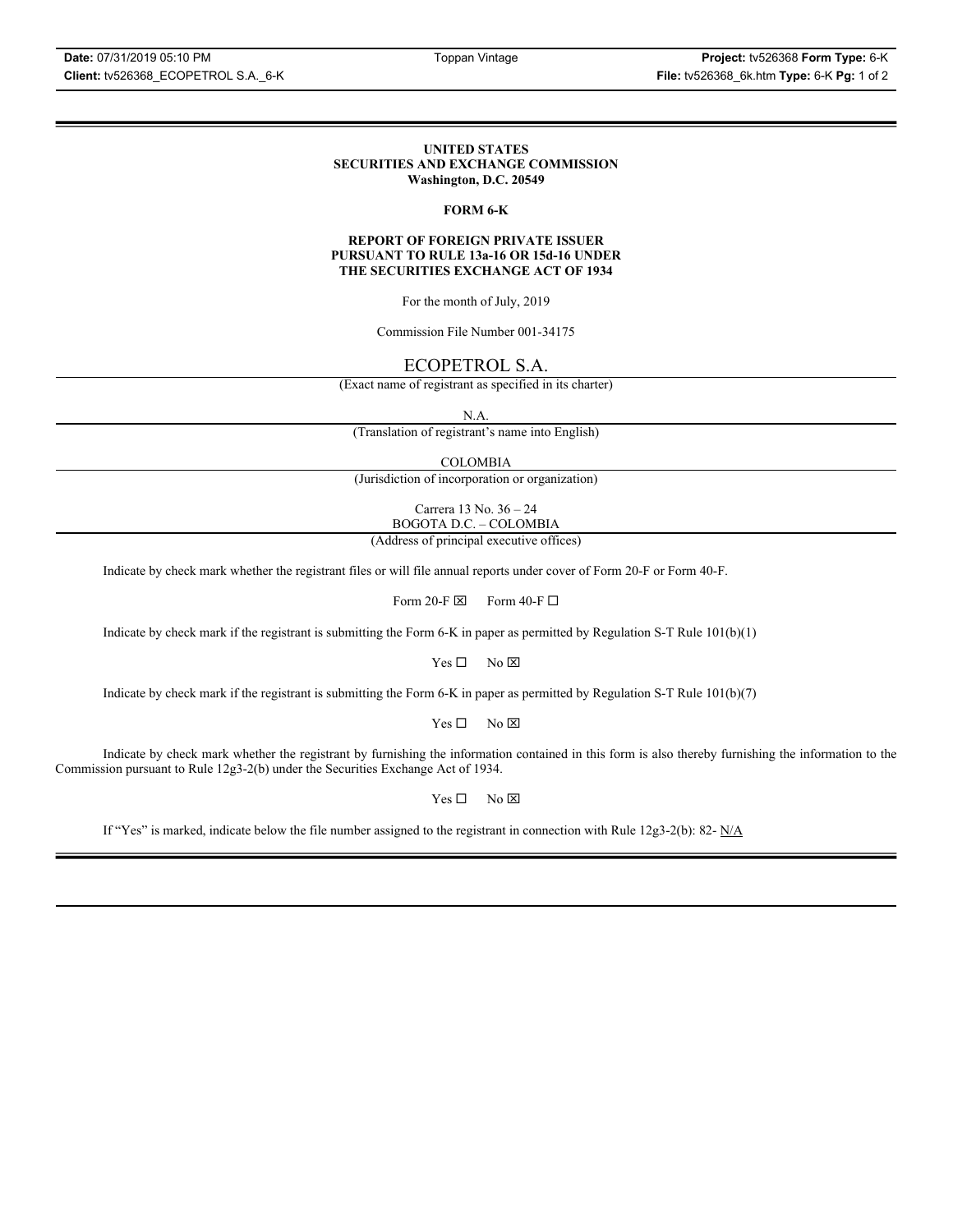### **UNITED STATES SECURITIES AND EXCHANGE COMMISSION Washington, D.C. 20549**

## **FORM 6-K**

### **REPORT OF FOREIGN PRIVATE ISSUER PURSUANT TO RULE 13a-16 OR 15d-16 UNDER THE SECURITIES EXCHANGE ACT OF 1934**

For the month of July, 2019

Commission File Number 001-34175

## ECOPETROL S.A.

(Exact name of registrant as specified in its charter)

N.A.

(Translation of registrant's name into English)

COLOMBIA

(Jurisdiction of incorporation or organization)

Carrera 13 No. 36 – 24 BOGOTA D.C. – COLOMBIA

(Address of principal executive offices)

Indicate by check mark whether the registrant files or will file annual reports under cover of Form 20-F or Form 40-F.

Form 20-F  $\boxtimes$  Form 40-F  $\Box$ 

Indicate by check mark if the registrant is submitting the Form 6-K in paper as permitted by Regulation S-T Rule 101(b)(1)

 $Yes \Box$  No  $\boxtimes$ 

Indicate by check mark if the registrant is submitting the Form 6-K in paper as permitted by Regulation S-T Rule 101(b)(7)

 $Yes \Box$  No  $\boxtimes$ 

Indicate by check mark whether the registrant by furnishing the information contained in this form is also thereby furnishing the information to the Commission pursuant to Rule 12g3-2(b) under the Securities Exchange Act of 1934.

 $Yes \Box$  No  $\boxtimes$ 

If "Yes" is marked, indicate below the file number assigned to the registrant in connection with Rule 12g3-2(b): 82-  $N/A$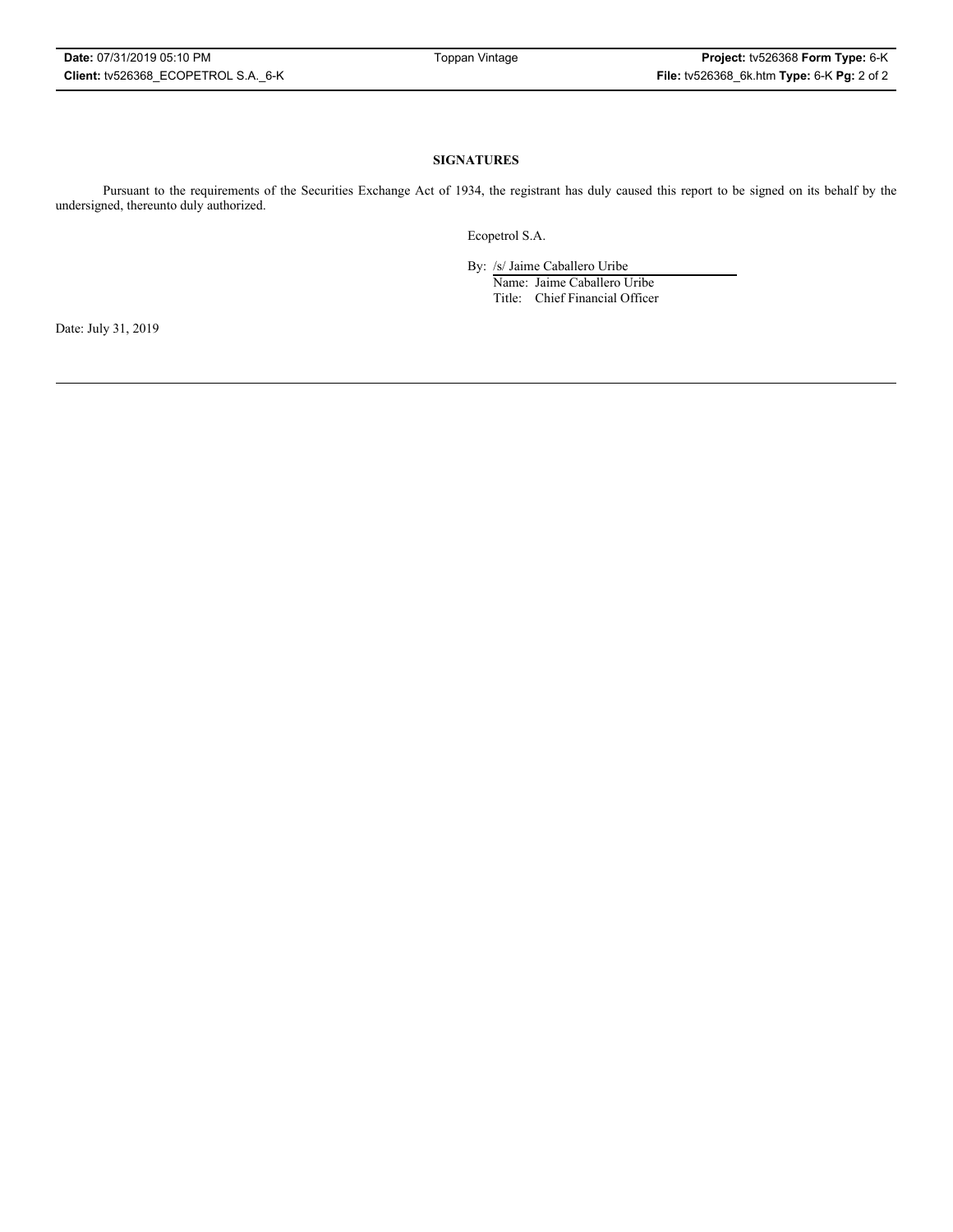### **SIGNATURES**

Pursuant to the requirements of the Securities Exchange Act of 1934, the registrant has duly caused this report to be signed on its behalf by the undersigned, thereunto duly authorized.

Ecopetrol S.A.

By: /s/ Jaime Caballero Uribe

Name: Jaime Caballero Uribe Title: Chief Financial Officer

Date: July 31, 2019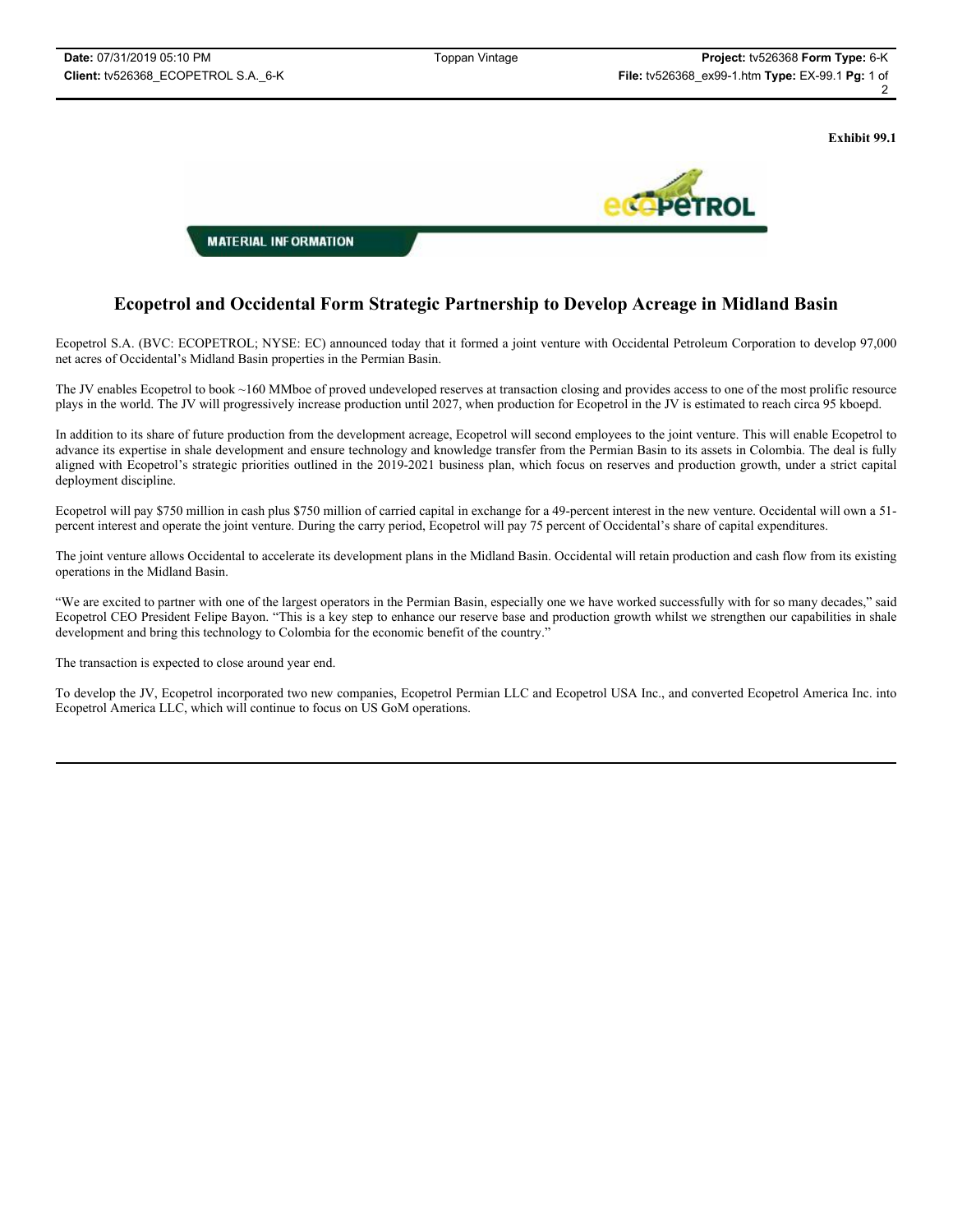**Exhibit 99.1**



# **Ecopetrol and Occidental Form Strategic Partnership to Develop Acreage in Midland Basin**

Ecopetrol S.A. (BVC: ECOPETROL; NYSE: EC) announced today that it formed a joint venture with Occidental Petroleum Corporation to develop 97,000 net acres of Occidental's Midland Basin properties in the Permian Basin.

The JV enables Ecopetrol to book ~160 MMboe of proved undeveloped reserves at transaction closing and provides access to one of the most prolific resource plays in the world. The JV will progressively increase production until 2027, when production for Ecopetrol in the JV is estimated to reach circa 95 kboepd.

In addition to its share of future production from the development acreage, Ecopetrol will second employees to the joint venture. This will enable Ecopetrol to advance its expertise in shale development and ensure technology and knowledge transfer from the Permian Basin to its assets in Colombia. The deal is fully aligned with Ecopetrol's strategic priorities outlined in the 2019-2021 business plan, which focus on reserves and production growth, under a strict capital deployment discipline.

Ecopetrol will pay \$750 million in cash plus \$750 million of carried capital in exchange for a 49-percent interest in the new venture. Occidental will own a 51 percent interest and operate the joint venture. During the carry period, Ecopetrol will pay 75 percent of Occidental's share of capital expenditures.

The joint venture allows Occidental to accelerate its development plans in the Midland Basin. Occidental will retain production and cash flow from its existing operations in the Midland Basin.

"We are excited to partner with one of the largest operators in the Permian Basin, especially one we have worked successfully with for so many decades," said Ecopetrol CEO President Felipe Bayon. "This is a key step to enhance our reserve base and production growth whilst we strengthen our capabilities in shale development and bring this technology to Colombia for the economic benefit of the country."

The transaction is expected to close around year end.

To develop the JV, Ecopetrol incorporated two new companies, Ecopetrol Permian LLC and Ecopetrol USA Inc., and converted Ecopetrol America Inc. into Ecopetrol America LLC, which will continue to focus on US GoM operations.